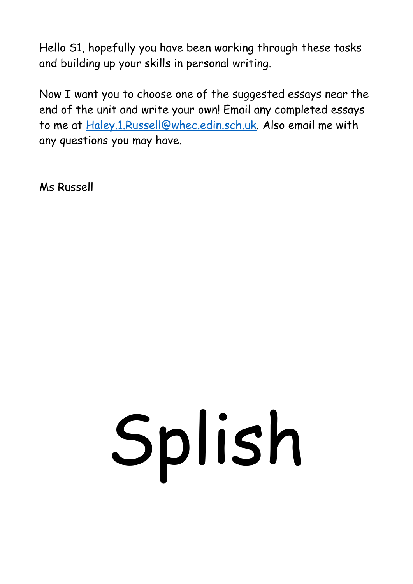Hello S1, hopefully you have been working through these tasks and building up your skills in personal writing.

Now I want you to choose one of the suggested essays near the end of the unit and write your own! Email any completed essays to me at [Haley.1.Russell@whec.edin.sch.uk.](mailto:Haley.1.Russell@whec.edin.sch.uk) Also email me with any questions you may have.

Ms Russell

# Splish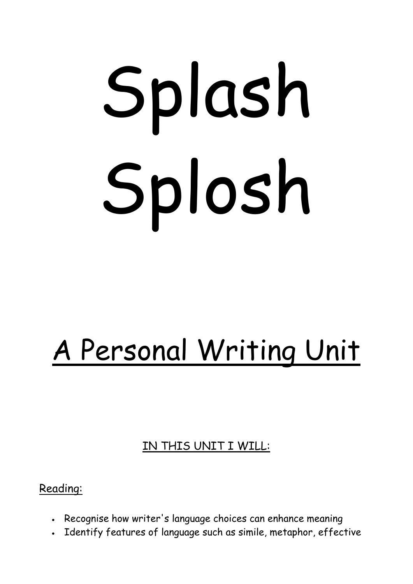# Splash Splosh

# A Personal Writing Unit

# IN THIS UNIT I WILL:

# Reading:

- Recognise how writer's language choices can enhance meaning
- Identify features of language such as simile, metaphor, effective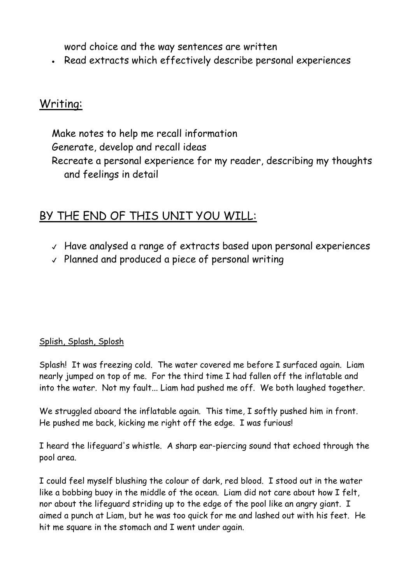word choice and the way sentences are written

• Read extracts which effectively describe personal experiences

# Writing:

Make notes to help me recall information Generate, develop and recall ideas Recreate a personal experience for my reader, describing my thoughts and feelings in detail

# BY THE END OF THIS UNIT YOU WILL:

- ✔ Have analysed a range of extracts based upon personal experiences
- ✔ Planned and produced a piece of personal writing

# Splish, Splash, Splosh

Splash! It was freezing cold. The water covered me before I surfaced again. Liam nearly jumped on top of me. For the third time I had fallen off the inflatable and into the water. Not my fault... Liam had pushed me off. We both laughed together.

We struggled aboard the inflatable again. This time, I softly pushed him in front. He pushed me back, kicking me right off the edge. I was furious!

I heard the lifeguard's whistle. A sharp ear-piercing sound that echoed through the pool area.

I could feel myself blushing the colour of dark, red blood. I stood out in the water like a bobbing buoy in the middle of the ocean. Liam did not care about how I felt, nor about the lifeguard striding up to the edge of the pool like an angry giant. I aimed a punch at Liam, but he was too quick for me and lashed out with his feet. He hit me square in the stomach and I went under again.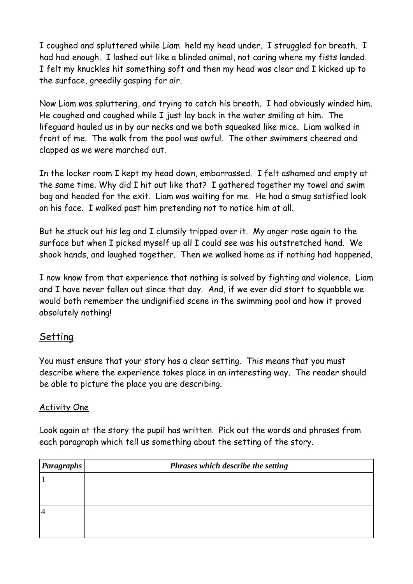I coughed and spluttered while Liam held my head under. I struggled for breath. I had had enough. I lashed out like a blinded animal, not caring where my fists landed. I felt my knuckles hit something soft and then my head was clear and I kicked up to the surface, greedily gasping for air.

Now Liam was spluttering, and trying to catch his breath. I had obviously winded him. He coughed and coughed while I just lay back in the water smiling at him. The lifeguard hauled us in by our necks and we both squeaked like mice. Liam walked in front of me. The walk from the pool was awful. The other swimmers cheered and clapped as we were marched out.

In the locker room I kept my head down, embarrassed. I felt ashamed and empty at the same time. Why did I hit out like that? I gathered together my towel and swim bag and headed for the exit. Liam was waiting for me. He had a smug satisfied look on his face. I walked past him pretending not to notice him at all.

But he stuck out his leg and I clumsily tripped over it. My anger rose again to the surface but when I picked myself up all I could see was his outstretched hand. We shook hands, and laughed together. Then we walked home as if nothing had happened.

I now know from that experience that nothing is solved by fighting and violence. Liam and I have never fallen out since that day. And, if we ever did start to squabble we would both remember the undignified scene in the swimming pool and how it proved absolutely nothing!

# Setting

You must ensure that your story has a clear setting. This means that you must describe where the experience takes place in an interesting way. The reader should be able to picture the place you are describing.

### Activity One

Look again at the story the pupil has written. Pick out the words and phrases from each paragraph which tell us something about the setting of the story.

| <b>Paragraphs</b> | Phrases which describe the setting |
|-------------------|------------------------------------|
|                   |                                    |
|                   |                                    |
|                   |                                    |
|                   |                                    |
|                   |                                    |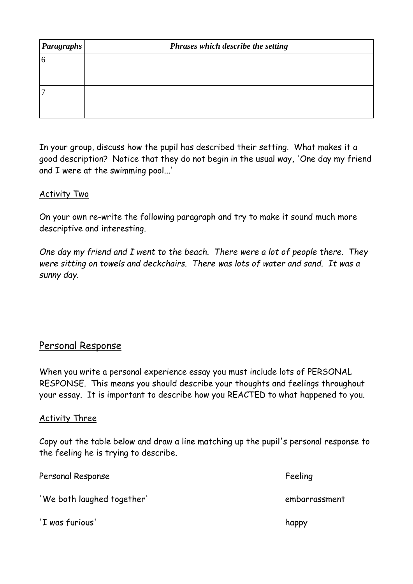| <b>Paragraphs</b> | Phrases which describe the setting |
|-------------------|------------------------------------|
| 6                 |                                    |
|                   |                                    |
|                   |                                    |
|                   |                                    |
|                   |                                    |

In your group, discuss how the pupil has described their setting. What makes it a good description? Notice that they do not begin in the usual way, 'One day my friend and I were at the swimming pool...'

### Activity Two

On your own re-write the following paragraph and try to make it sound much more descriptive and interesting.

*One day my friend and I went to the beach. There were a lot of people there. They were sitting on towels and deckchairs. There was lots of water and sand. It was a sunny day.*

# Personal Response

When you write a personal experience essay you must include lots of PERSONAL RESPONSE. This means you should describe your thoughts and feelings throughout your essay. It is important to describe how you REACTED to what happened to you.

### Activity Three

Copy out the table below and draw a line matching up the pupil's personal response to the feeling he is trying to describe.

| Personal Response          | Feeling       |
|----------------------------|---------------|
| 'We both laughed together' | embarrassment |
| 'I was furious'            | happy         |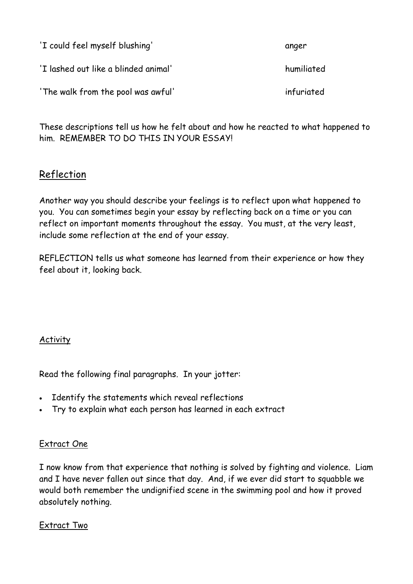| 'I could feel myself blushing'       | anger      |
|--------------------------------------|------------|
| 'I lashed out like a blinded animal' | humiliated |
| 'The walk from the pool was awful'   | infuriated |

These descriptions tell us how he felt about and how he reacted to what happened to him. REMEMBER TO DO THIS IN YOUR ESSAY!

# Reflection

Another way you should describe your feelings is to reflect upon what happened to you. You can sometimes begin your essay by reflecting back on a time or you can reflect on important moments throughout the essay. You must, at the very least, include some reflection at the end of your essay.

REFLECTION tells us what someone has learned from their experience or how they feel about it, looking back.

# Activity

Read the following final paragraphs. In your jotter:

- Identify the statements which reveal reflections
- Try to explain what each person has learned in each extract

# Extract One

I now know from that experience that nothing is solved by fighting and violence. Liam and I have never fallen out since that day. And, if we ever did start to squabble we would both remember the undignified scene in the swimming pool and how it proved absolutely nothing.

### Extract Two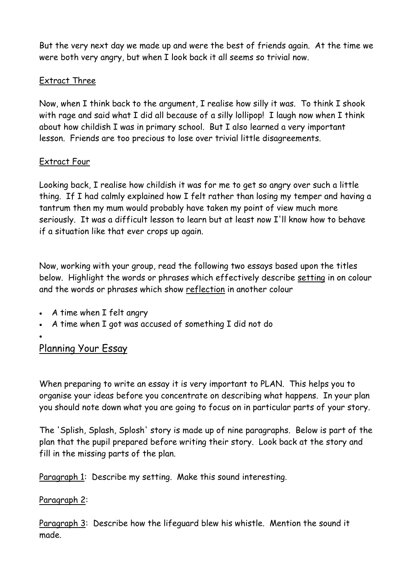But the very next day we made up and were the best of friends again. At the time we were both very angry, but when I look back it all seems so trivial now.

# Extract Three

Now, when I think back to the argument, I realise how silly it was. To think I shook with rage and said what I did all because of a silly lollipop! I laugh now when I think about how childish I was in primary school. But I also learned a very important lesson. Friends are too precious to lose over trivial little disagreements.

# Extract Four

Looking back, I realise how childish it was for me to get so angry over such a little thing. If I had calmly explained how I felt rather than losing my temper and having a tantrum then my mum would probably have taken my point of view much more seriously. It was a difficult lesson to learn but at least now I'll know how to behave if a situation like that ever crops up again.

Now, working with your group, read the following two essays based upon the titles below. Highlight the words or phrases which effectively describe setting in on colour and the words or phrases which show reflection in another colour

- A time when I felt angry
- A time when I got was accused of something I did not do
- •

# Planning Your Essay

When preparing to write an essay it is very important to PLAN. This helps you to organise your ideas before you concentrate on describing what happens. In your plan you should note down what you are going to focus on in particular parts of your story.

The 'Splish, Splash, Splosh' story is made up of nine paragraphs. Below is part of the plan that the pupil prepared before writing their story. Look back at the story and fill in the missing parts of the plan.

Paragraph 1: Describe my setting. Make this sound interesting.

# Paragraph 2:

Paragraph 3: Describe how the lifeguard blew his whistle. Mention the sound it made.